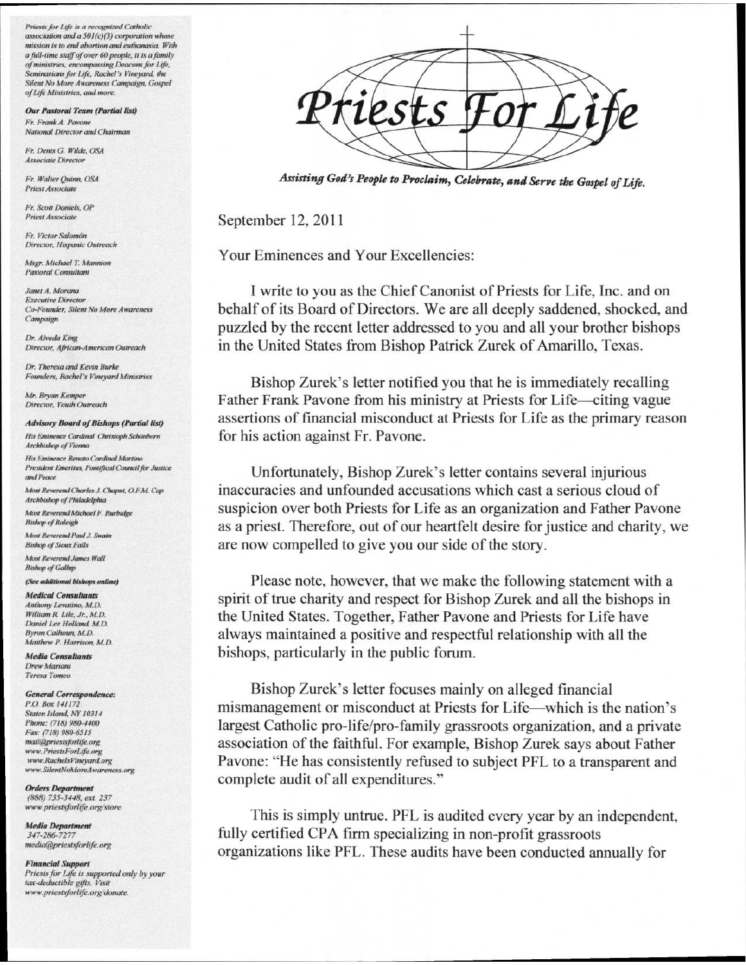*Priests for Life is a recognized Catholic association and a 50 I (c)(3) corporation whose mission is to end abortion and euthanasia. With afidl-time staff of over 60 people, it is a family of ministries, encompassing Deacons for Life,*  Seminarians for Life, Rachel's Vineyard, the *Silent No More Awareness Campaign, Gospel ofLyi Ministries, and more.* 

*Our Pastoral Team (Partial list) Fr. Frank A. Pavone National Director and Chairman* 

*Fr. Denis G. Wilde, OSA Associate Director* 

*Fr. Walter Quinn, OSA Priest Associate* 

*Fr. Scott Daniels, OP Priest Associate* 

Fr. Victor Salomón *Director, Hispanic Outreach* 

*Msgr. Michael T. Mannion Pastoral Consultant* 

*Janet A. Morana Executive Director Co-Founder, Silent No More Awareness Campaign* 

*Dr. Alveda King Director, African-American Outreach* 

*Dr. Theresa and Kevin Burke Founders, Rachel 's Vineyard Ministries* 

**Mr. Bryan Kemper** *Director, Youth Outreach* 

## *Advisory Board of Bishops (Partial list)*

*His Eminence Cardinal Christoph Schonborn Archbishop of Vienna* 

*His Eminence Renato Cardinal Martino*  **President Emeritus, Pontifical Council for Justice** *and Peace* 

*Most Reverend Charles J. Chaput, O.FM Cap Archbishop of Philadelphia* 

*Most Reverend Michael F. liurbidge Bishop of Raleigh* 

*Most Reverend Paul J. Swain Bishop of Sioux Falls Most Reverend James Wall* 

*Bishop of Gallup* 

## *(See additional bishops online)*

*Medical Consultants*  Anthony Levatino, M.D. *William R Lite, Jr, M.D.*  Daniel Lee Holland, M.D. *Byron Calhoun, M.D. Matthew P. Harrison M.D.* 

*Media Consultants Drew Mariana Teresa Tomei,* 

## *General Correspondence:*

*P.O. Box 141172 Staten Island NY 10314 Phone: (718) 980-4400 Fax: (718) 980-6515*   $mail@priests for life.org$ *www.PriestsForLife.org www.RachelsVmeyardorg www.SilentNoMoreAwareness.org* 

*Orders Department (888) 735-3448, ext. 237 www.priestsforlife.orgistore* 

*Media Department 347-286-7277 media@priestsforlife.org* 

*Financial Support Priests for Lift is supported only by your tax-deductible gds. Visit*  www.priestsforlife.org/donate.

*Assisting God's People to Proclaim, Celebrate, and Serve the Gospel of Life.* 

September 12, 2011

Your Eminences and Your Excellencies:

I write to you as the Chief Canonist of Priests for Life, Inc. and on behalf of its Board of Directors. We are all deeply saddened, shocked, and puzzled by the recent letter addressed to you and all your brother bishops in the United States from Bishop Patrick Zurek of Amarillo, Texas.

Bishop Zurek's letter notified you that he is immediately recalling Father Frank Pavone from his ministry at Priests for Life—citing vague assertions of financial misconduct at Priests for Life as the primary reason for his action against Fr. Pavone.

Unfortunately, Bishop Zurek's letter contains several injurious inaccuracies and unfounded accusations which cast a serious cloud of suspicion over both Priests for Life as an organization and Father Pavone as a priest. Therefore, out of our heartfelt desire for justice and charity, we are now compelled to give you our side of the story.

Please note, however, that we make the following statement with a spirit of true charity and respect for Bishop Zurek and all the bishops in the United States. Together, Father Pavone and Priests for Life have always maintained a positive and respectful relationship with all the bishops, particularly in the public forum.

Bishop Zurek's letter focuses mainly on alleged financial mismanagement or misconduct at Priests for Life—which is the nation's largest Catholic pro-life/pro-family grassroots organization, and a private association of the faithful. For example, Bishop Zurek says about Father Pavone: "He has consistently refused to subject PFL to a transparent and complete audit of all expenditures."

This is simply untrue. PFL is audited every year by an independent, fully certified CPA firm specializing in non-profit grassroots organizations like PFL. These audits have been conducted annually for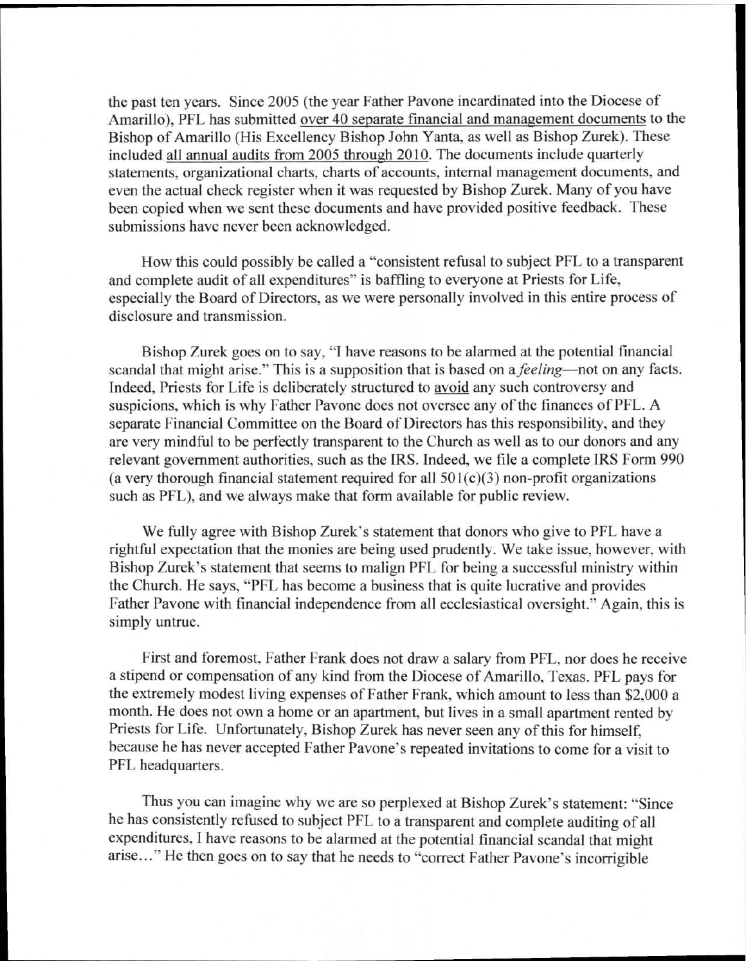the past ten years. Since 2005 (the year Father Pavone incardinated into the Diocese of Amarillo), PFL has submitted over 40 separate financial and management documents to the Bishop of Amarillo (His Excellency Bishop John Yanta, as well as Bishop Zurek). These included all annual audits from 2005 through 2010. The documents include quarterly statements, organizational charts, charts of accounts, internal management documents, and even the actual check register when it was requested by Bishop Zurek. Many of you have been copied when we sent these documents and have provided positive feedback. These submissions have never been acknowledged.

How this could possibly be called a "consistent refusal to subject PFL to a transparent and complete audit of all expenditures" is baffling to everyone at Priests for Life, especially the Board of Directors, as we were personally involved in this entire process of disclosure and transmission.

Bishop Zurek goes on to say, "I have reasons to be alarmed at the potential financial scandal that might arise." This is a supposition that is based on a *feeling—not* on any facts. Indeed, Priests for Life is deliberately structured to avoidany such controversy and suspicions, which is why Father Pavone does not oversee any of the finances of PFL. A separate Financial Committee on the Board of Directors has this responsibility, and they are very mindful to be perfectly transparent to the Church as well as to our donors and any relevant government authorities, such as the IRS. Indeed, we file a complete IRS Form 990 (a very thorough financial statement required for all  $501(c)(3)$  non-profit organizations such as PFL), and we always make that form available for public review.

We fully agree with Bishop Zurek's statement that donors who give to PFL have a rightful expectation that the monies are being used prudently. We take issue, however, with Bishop Zurek's statement that seems to malign PFL for being a successful ministry within the Church. He says, "PFL has become a business that is quite lucrative and provides Father Pavone with financial independence from all ecclesiastical oversight." Again, this is simply untrue.

First and foremost, Father Frank does not draw a salary from PFL, nor does he receive a stipend or compensation of any kind from the Diocese of Amarillo, Texas. PFL pays for the extremely modest living expenses of Father Frank, which amount to less than \$2,000 a month. He does not own a home or an apartment, but lives in a small apartment rented by Priests for Life. Unfortunately, Bishop Zurek has never seen any of this for himself, because he has never accepted Father Pavone's repeated invitations to come for a visit to PFL headquarters.

Thus you can imagine why we are so perplexed at Bishop Zurek's statement: "Since he has consistently refused to subject PFL to a transparent and complete auditing of all expenditures, I have reasons to be alarmed at the potential financial scandal that might arise..." He then goes on to say that he needs to "correct Father Pavone's incorrigible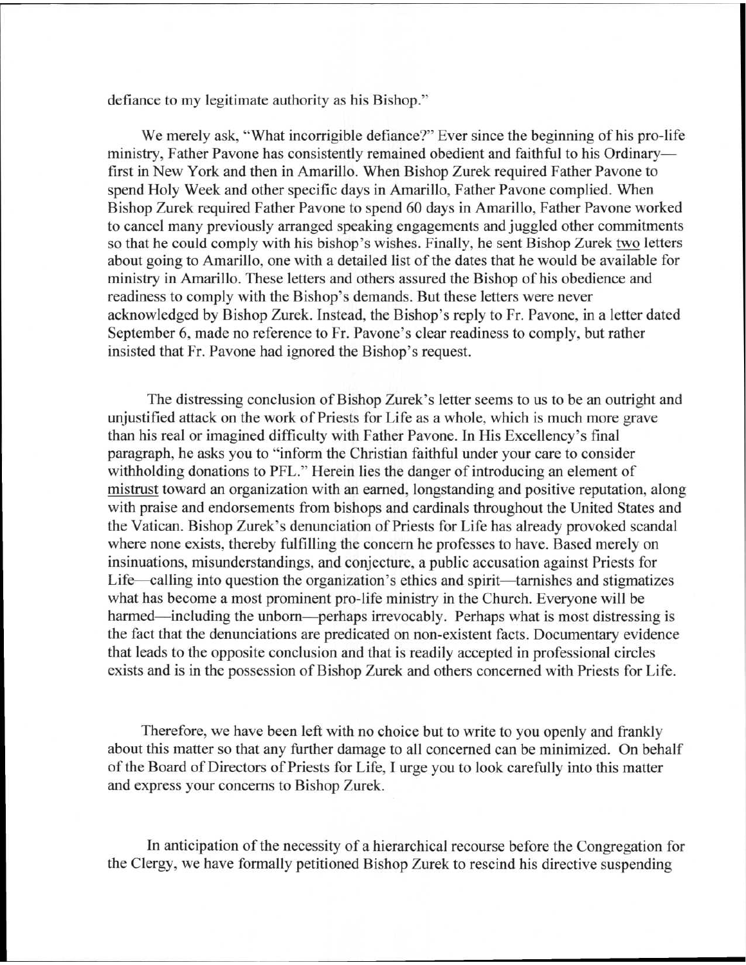defiance to my legitimate authority as his Bishop."

We merely ask, "What incorrigible defiance?" Ever since the beginning of his pro-life ministry, Father Pavone has consistently remained obedient and faithful to his Ordinary first in New York and then in Amarillo. When Bishop Zurek required Father Pavone to spend Holy Week and other specific days in Amarillo, Father Pavone complied. When Bishop Zurek required Father Pavone to spend 60 days in Amarillo, Father Pavone worked to cancel many previously arranged speaking engagements and juggled other commitments so that he could comply with his bishop's wishes. Finally, he sent Bishop Zurek two letters about going to Amarillo, one with a detailed list of the dates that he would be available for ministry in Amarillo. These letters and others assured the Bishop of his obedience and readiness to comply with the Bishop's demands. But these letters were never acknowledged by Bishop Zurek. Instead, the Bishop's reply to Fr. Pavone, in a letter dated September 6, made no reference to Fr. Pavone's clear readiness to comply, but rather insisted that Fr. Pavone had ignored the Bishop's request.

The distressing conclusion of Bishop Zurek's letter seems to us to be an outright and unjustified attack on the work of Priests for Life as a whole, which is much more grave than his real or imagined difficulty with Father Pavone. In His Excellency's final paragraph, he asks you to "inform the Christian faithful under your care to consider withholding donations to PFL." Herein lies the danger of introducing an element of mistrust toward an organization with an earned, longstanding and positive reputation, along with praise and endorsements from bishops and cardinals throughout the United States and the Vatican. Bishop Zurek's denunciation of Priests for Life has already provoked scandal where none exists, thereby fulfilling the concern he professes to have. Based merely on insinuations, misunderstandings, and conjecture, a public accusation against Priests for Life—calling into question the organization's ethics and spirit—tarnishes and stigmatizes what has become a most prominent pro-life ministry in the Church. Everyone will be harmed—including the unborn—perhaps irrevocably. Perhaps what is most distressing is the fact that the denunciations are predicated on non-existent facts. Documentary evidence that leads to the opposite conclusion and that is readily accepted in professional circles exists and is in the possession of Bishop Zurek and others concerned with Priests for Life.

Therefore, we have been left with no choice but to write to you openly and frankly about this matter so that any further damage to all concerned can be minimized. On behalf of the Board of Directors of Priests for Life, I urge you to look carefully into this matter and express your concerns to Bishop Zurek.

In anticipation of the necessity of a hierarchical recourse before the Congregation for the Clergy, we have formally petitioned Bishop Zurek to rescind his directive suspending